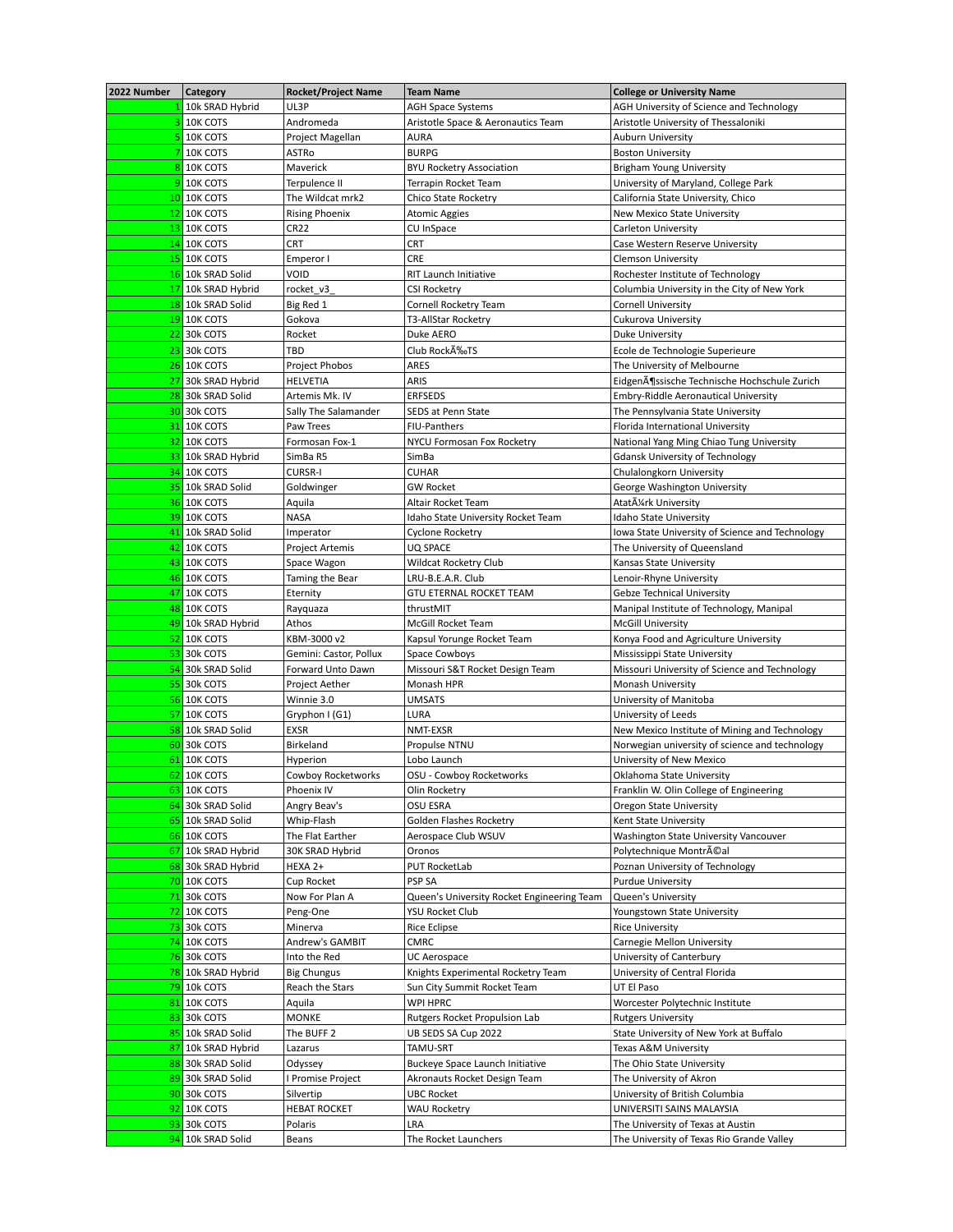| 2022 Number | <b>Category</b>                  | <b>Rocket/Project Name</b> | <b>Team Name</b>                           | <b>College or University Name</b>                                              |
|-------------|----------------------------------|----------------------------|--------------------------------------------|--------------------------------------------------------------------------------|
|             | 10k SRAD Hybrid                  | UL3P                       | <b>AGH Space Systems</b>                   | AGH University of Science and Technology                                       |
|             | 3 10K COTS                       | Andromeda                  | Aristotle Space & Aeronautics Team         | Aristotle University of Thessaloniki                                           |
|             | 5 10K COTS                       | Project Magellan           | <b>AURA</b>                                | <b>Auburn University</b>                                                       |
| 7           | 10K COTS                         | ASTRo                      | <b>BURPG</b>                               | <b>Boston University</b>                                                       |
|             | 8 10K COTS                       | Maverick                   | <b>BYU Rocketry Association</b>            | Brigham Young University                                                       |
|             | 9 10K COTS                       | Terpulence II              | Terrapin Rocket Team                       | University of Maryland, College Park                                           |
|             | 10 10K COTS                      | The Wildcat mrk2           | Chico State Rocketry                       | California State University, Chico                                             |
|             | <b>12 10K COTS</b>               | <b>Rising Phoenix</b>      | Atomic Aggies                              | New Mexico State University                                                    |
|             | <b>13 10K COTS</b>               | CR <sub>22</sub>           | CU InSpace                                 | Carleton University                                                            |
|             | 14 10K COTS                      | <b>CRT</b>                 | CRT                                        | Case Western Reserve University                                                |
|             | <b>15 10K COTS</b>               | Emperor I                  | <b>CRE</b>                                 | <b>Clemson University</b>                                                      |
|             | 16 10k SRAD Solid                | VOID                       | <b>RIT Launch Initiative</b>               | Rochester Institute of Technology                                              |
|             | 17 10k SRAD Hybrid               | rocket v3                  | <b>CSI Rocketry</b>                        | Columbia University in the City of New York                                    |
|             | 18 10k SRAD Solid                | Big Red 1                  | Cornell Rocketry Team                      | <b>Cornell University</b>                                                      |
|             | <b>19 10K COTS</b>               | Gokova                     | T3-AllStar Rocketry                        | Cukurova University                                                            |
|             | <b>22 30k COTS</b>               | Rocket                     | Duke AERO                                  | <b>Duke University</b>                                                         |
|             | <b>23 30k COTS</b>               | <b>TBD</b>                 | Club RockA%TS                              | Ecole de Technologie Superieure                                                |
|             | <b>26 10K COTS</b>               | Project Phobos             | ARES                                       | The University of Melbourne                                                    |
|             | 27 30k SRAD Hybrid               | HELVETIA                   | ARIS                                       | EidgenĶssische Technische Hochschule Zurich                                    |
|             | 28 30k SRAD Solid                | Artemis Mk. IV             | <b>ERFSEDS</b>                             | Embry-Riddle Aeronautical University                                           |
|             | <b>30 30k COTS</b>               | Sally The Salamander       | <b>SEDS at Penn State</b>                  | The Pennsylvania State University                                              |
|             | <b>31 10K COTS</b>               | Paw Trees                  | FIU-Panthers                               | Florida International University                                               |
|             | <b>32 10K COTS</b>               | Formosan Fox-1             | NYCU Formosan Fox Rocketry                 | National Yang Ming Chiao Tung University                                       |
|             | 33 10k SRAD Hybrid               | SimBa R5                   | SimBa                                      | <b>Gdansk University of Technology</b>                                         |
|             | <b>34 10K COTS</b>               | <b>CURSR-I</b>             | <b>CUHAR</b>                               | Chulalongkorn University                                                       |
|             | 35 10k SRAD Solid                | Goldwinger                 | <b>GW Rocket</b>                           | George Washington University                                                   |
|             | <b>36 10K COTS</b>               | Aquila                     | Altair Rocket Team                         | Atatürk University                                                             |
|             | <b>39 10K COTS</b>               | <b>NASA</b>                | Idaho State University Rocket Team         | Idaho State University                                                         |
|             | 41 10k SRAD Solid                | Imperator                  | Cyclone Rocketry                           | Iowa State University of Science and Technology                                |
|             | <b>42 10K COTS</b>               | Project Artemis            | UQ SPACE                                   | The University of Queensland                                                   |
|             | <b>43 10K COTS</b>               | Space Wagon                | Wildcat Rocketry Club                      | Kansas State University                                                        |
|             | 46 10K COTS                      | Taming the Bear            | LRU-B.E.A.R. Club                          | Lenoir-Rhyne University                                                        |
|             | 47 10K COTS                      | Eternity                   | <b>GTU ETERNAL ROCKET TEAM</b>             | Gebze Technical University                                                     |
|             | <b>48 10K COTS</b>               | Rayquaza                   | thrustMIT                                  | Manipal Institute of Technology, Manipal                                       |
|             | 49 10k SRAD Hybrid               | Athos                      | McGill Rocket Team                         | <b>McGill University</b>                                                       |
|             | <b>52 10K COTS</b>               | KBM-3000 v2                | Kapsul Yorunge Rocket Team                 | Konya Food and Agriculture University                                          |
|             | <b>53 30k COTS</b>               | Gemini: Castor, Pollux     | Space Cowboys                              | Mississippi State University                                                   |
|             | 54 30k SRAD Solid                | Forward Unto Dawn          | Missouri S&T Rocket Design Team            | Missouri University of Science and Technology                                  |
|             | <b>55 30k COTS</b>               | Project Aether             | Monash HPR                                 | Monash University                                                              |
|             | <b>56 10K COTS</b>               | Winnie 3.0                 | <b>UMSATS</b>                              | University of Manitoba                                                         |
|             | <b>57 10K COTS</b>               | Gryphon I (G1)             | LURA                                       | University of Leeds                                                            |
|             | 58 10k SRAD Solid                | <b>EXSR</b>                | NMT-EXSR                                   | New Mexico Institute of Mining and Technology                                  |
|             | 60 30k COTS                      | Birkeland                  | Propulse NTNU                              | Norwegian university of science and technology                                 |
|             | 61 10K COTS                      | Hyperion                   | Lobo Launch                                | University of New Mexico                                                       |
|             | 62 10K COTS                      | Cowboy Rocketworks         | OSU - Cowboy Rocketworks                   | Oklahoma State University                                                      |
|             | 63 10K COTS                      | Phoenix IV                 | Olin Rocketry                              | Franklin W. Olin College of Engineering                                        |
|             | 64 30k SRAD Solid                | Angry Beav's               | <b>OSU ESRA</b>                            | Oregon State University                                                        |
|             | 65 10k SRAD Solid                | Whip-Flash                 | Golden Flashes Rocketry                    | Kent State University                                                          |
|             | 66 10K COTS                      | The Flat Earther           | Aerospace Club WSUV                        | Washington State University Vancouver                                          |
|             | 67 10k SRAD Hybrid               | 30K SRAD Hybrid            | Oronos                                     | Polytechnique Montréal                                                         |
|             | 68 30k SRAD Hybrid               | HEXA 2+                    | PUT RocketLab                              | Poznan University of Technology                                                |
|             | <b>70 10K COTS</b>               | Cup Rocket                 | PSP SA                                     | <b>Purdue University</b>                                                       |
|             | 71 30k COTS                      | Now For Plan A             | Queen's University Rocket Engineering Team | Queen's University                                                             |
|             | <b>72 10K COTS</b>               | Peng-One                   | YSU Rocket Club                            | Youngstown State University                                                    |
|             | 73 30k COTS                      | Minerva                    | Rice Eclipse                               | <b>Rice University</b>                                                         |
|             | $\frac{74}{10}$ 10K COTS         | Andrew's GAMBIT            | <b>CMRC</b>                                | Carnegie Mellon University                                                     |
|             | <b>76 30k COTS</b>               | Into the Red               | UC Aerospace                               | University of Canterbury                                                       |
|             | 78 10k SRAD Hybrid               | <b>Big Chungus</b>         | Knights Experimental Rocketry Team         | University of Central Florida                                                  |
|             | 79 10k COTS                      | Reach the Stars            | Sun City Summit Rocket Team                | UT El Paso                                                                     |
|             | 81 10K COTS                      | Aquila                     | WPI HPRC                                   | Worcester Polytechnic Institute                                                |
|             | 83 30k COTS                      | <b>MONKE</b>               | Rutgers Rocket Propulsion Lab              | <b>Rutgers University</b>                                                      |
|             | 85 10k SRAD Solid                | The BUFF 2                 | UB SEDS SA Cup 2022                        | State University of New York at Buffalo                                        |
|             | 87 10k SRAD Hybrid               | Lazarus                    | TAMU-SRT                                   | Texas A&M University                                                           |
|             |                                  |                            | Buckeye Space Launch Initiative            | The Ohio State University                                                      |
|             | 88 30k SRAD Solid                | Odyssey                    |                                            |                                                                                |
|             | 89 30k SRAD Solid                | I Promise Project          | Akronauts Rocket Design Team               | The University of Akron                                                        |
|             | 90 30k COTS                      | Silvertip                  | <b>UBC Rocket</b>                          | University of British Columbia                                                 |
|             | 92 10K COTS                      | <b>HEBAT ROCKET</b>        | <b>WAU Rocketry</b>                        | UNIVERSITI SAINS MALAYSIA                                                      |
|             | 93 30k COTS<br>94 10k SRAD Solid | Polaris<br>Beans           | LRA<br>The Rocket Launchers                | The University of Texas at Austin<br>The University of Texas Rio Grande Valley |